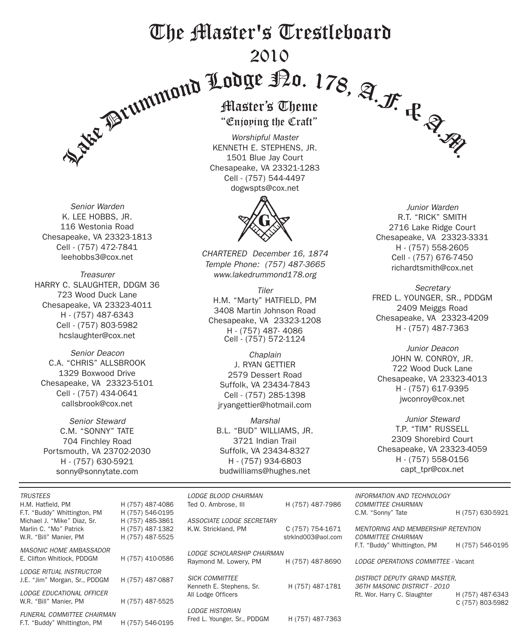## The Master's Trestleboard 2010

*Senior Warden* K. LEE HOBBS, JR. 116 Westonia Road Chesapeake, VA 23323-1813 Cell - (757) 472-7841 leehobbs3@cox.net

*Treasurer* HARRY C. SLAUGHTER, DDGM 36 723 Wood Duck Lane Chesapeake, VA 23323-4011 H - (757) 487-6343 Cell - (757) 803-5982 hcslaughter@cox.net

*Senior Deacon* C.A. "CHRIS" ALLSBROOK 1329 Boxwood Drive Chesapeake, VA 23323-5101 Cell - (757) 434-0641 callsbrook@cox.net

*Senior Steward* C.M. "SONNY" TATE 704 Finchley Road Portsmouth, VA 23702-2030 H - (757) 630-5921 sonny@sonnytate.com

F.T. "Buddy" Whittington, PM H (757) 546-0195

Enjoping the Cra

*Worshipful Master* KENNETH E. STEPHENS, JR. 1501 Blue Jay Court Chesapeake, VA 23321-1283 Cell - (757) 544-4497 dogwspts@cox.net



*CHARTERED December 16, 1874 Temple Phone: (757) 487-3665 www.lakedrummond178.org*

*Tiler* H.M. "Marty" HATFIELD, PM 3408 Martin Johnson Road Chesapeake, VA 23323-1208 H - (757) 487- 4086 Cell - (757) 572-1124

*Chaplain* J. RYAN GETTIER 2579 Dessert Road Suffolk, VA 23434-7843 Cell - (757) 285-1398 jryangettier@hotmail.com

*Marshal* B.L. "BUD" WILLIAMS, JR. 3721 Indian Trail Suffolk, VA 23434-8327 H - (757) 934-6803 budwilliams@hughes.net

*Junior Warden* R.T. "RICK" SMITH 2716 Lake Ridge Court Chesapeake, VA 23323-3331 H - (757) 558-2605 Cell - (757) 676-7450 richardtsmith@cox.net

*Secretary* FRED L. YOUNGER, SR., PDDGM 2409 Meiggs Road Chesapeake, VA 23323-4209 H - (757) 487-7363

*Junior Deacon* JOHN W. CONROY, JR. 722 Wood Duck Lane Chesapeake, VA 23323-4013 H - (757) 617-9395 jwconroy@cox.net

*Junior Steward* T.P. "TIM" RUSSELL 2309 Shorebird Court Chesapeake, VA 23323-4059 H - (757) 558-0156 capt\_tpr@cox.net

| <b>TRUSTEES</b>                                                    |                                      | LODGE BLOOD CHAIRMAN                                  |                    | <b>INFORMATION AND TECHNOLOGY</b>                                    |                                      |
|--------------------------------------------------------------------|--------------------------------------|-------------------------------------------------------|--------------------|----------------------------------------------------------------------|--------------------------------------|
| H.M. Hatfield, PM<br>F.T. "Buddy" Whittington, PM                  | H (757) 487-4086<br>H (757) 546-0195 | Ted O. Ambrose, III                                   | H (757) 487-7986   | <b>COMMITTEE CHAIRMAN</b><br>C.M. "Sonny" Tate                       | H (757) 630-5921                     |
| Michael J. "Mike" Diaz, Sr.                                        | H (757) 485-3861                     | ASSOCIATE LODGE SECRETARY                             |                    |                                                                      |                                      |
| Marlin C. "Mo" Patrick                                             | H (757) 487-1382                     | K.W. Strickland, PM                                   | C (757) 754-1671   | <b>MENTORING AND MEMBERSHIP RETENTION</b>                            |                                      |
| W.R. "Bill" Manier, PM                                             | H (757) 487-5525                     |                                                       | strkInd003@aol.com | <b>COMMITTEE CHAIRMAN</b>                                            |                                      |
|                                                                    |                                      |                                                       |                    | F.T. "Buddy" Whittington, PM                                         | H (757) 546-0195                     |
| <b>MASONIC HOME AMBASSADOR</b>                                     |                                      | <b>LODGE SCHOLARSHIP CHAIRMAN</b>                     |                    |                                                                      |                                      |
| E. Clifton Whitlock, PDDGM                                         | H (757) 410-0586                     | Raymond M. Lowery, PM                                 | H (757) 487-8690   | LODGE OPERATIONS COMMITTEE - Vacant                                  |                                      |
| <b>LODGE RITUAL INSTRUCTOR</b><br>J.E. "Jim" Morgan, Sr., PDDGM    | H (757) 487-0887                     | <b>SICK COMMITTEE</b><br>Kenneth E. Stephens, Sr.     | H (757) 487-1781   | <b>DISTRICT DEPUTY GRAND MASTER.</b><br>36TH MASONIC DISTRICT - 2010 |                                      |
| LODGE EDUCATIONAL OFFICER<br>W.R. "Bill" Manier, PM                | H (757) 487-5525                     | All Lodge Officers                                    |                    | Rt. Wor. Harry C. Slaughter                                          | H (757) 487-6343<br>C (757) 803-5982 |
| <b>FUNERAL COMMITTEE CHAIRMAN</b><br>$FT$ "Duddy" Whittipater $DM$ | $11/757$ $5400405$                   | <b>LODGE HISTORIAN</b><br>Fred L. Younger, Sr., PDDGM | H (757) 487-7363   |                                                                      |                                      |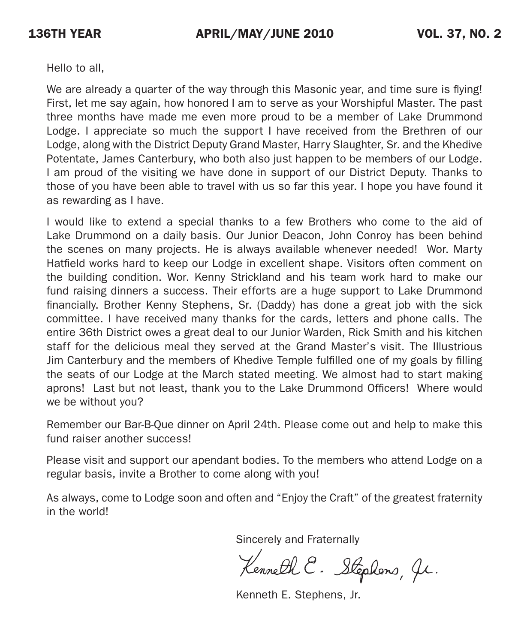Hello to all,

We are already a quarter of the way through this Masonic year, and time sure is flying! First, let me say again, how honored I am to serve as your Worshipful Master. The past three months have made me even more proud to be a member of Lake Drummond Lodge. I appreciate so much the support I have received from the Brethren of our Lodge, along with the District Deputy Grand Master, Harry Slaughter, Sr. and the Khedive Potentate, James Canterbury, who both also just happen to be members of our Lodge. I am proud of the visiting we have done in support of our District Deputy. Thanks to those of you have been able to travel with us so far this year. I hope you have found it as rewarding as I have.

I would like to extend a special thanks to a few Brothers who come to the aid of Lake Drummond on a daily basis. Our Junior Deacon, John Conroy has been behind the scenes on many projects. He is always available whenever needed! Wor. Marty Hatfield works hard to keep our Lodge in excellent shape. Visitors often comment on the building condition. Wor. Kenny Strickland and his team work hard to make our fund raising dinners a success. Their efforts are a huge support to Lake Drummond financially. Brother Kenny Stephens, Sr. (Daddy) has done a great job with the sick committee. I have received many thanks for the cards, letters and phone calls. The entire 36th District owes a great deal to our Junior Warden, Rick Smith and his kitchen staff for the delicious meal they served at the Grand Master's visit. The Illustrious Jim Canterbury and the members of Khedive Temple fulfilled one of my goals by filling the seats of our Lodge at the March stated meeting. We almost had to start making aprons! Last but not least, thank you to the Lake Drummond Officers! Where would we be without you?

Remember our Bar-B-Que dinner on April 24th. Please come out and help to make this fund raiser another success!

Please visit and support our apendant bodies. To the members who attend Lodge on a regular basis, invite a Brother to come along with you!

As always, come to Lodge soon and often and "Enjoy the Craft" of the greatest fraternity in the world!

Sincerely and Fraternally

Kenneth E. Stephens, Jr.

Kenneth E. Stephens, Jr.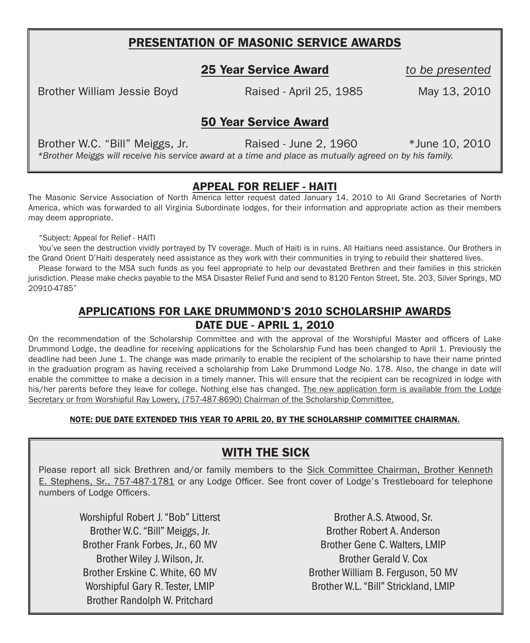#### PRESENTATION OF MASONIC SERVICE AWARDS

25 Year Service Award *to be presented*

Brother William Jessie Boyd Raised - April 25, 1985 May 13, 2010

50 Year Service Award

Brother W.C. "Bill" Meiggs, Jr. (and a Raised - June 2, 1960  $*$  June 10, 2010 *\*Brother Meiggs will receive his service award at a time and place as mutually agreed on by his family.*

#### APPEAL FOR RELIEF - HAITI

The Masonic Service Association of North America letter request dated January 14, 2010 to All Grand Secretaries of North America, which was forwarded to all Virginia Subordinate lodges, for their information and appropriate action as their members may deem appropriate.

"Subject: Appeal for Relief - HAITI

You've seen the destruction vividly portrayed by TV coverage. Much of Haiti is in ruins. All Haitians need assistance. Our Brothers in the Grand Orient D'Haiti desperately need assistance as they work with their communities in trying to rebuild their shattered lives.

Please forward to the MSA such funds as you feel appropriate to help our devastated Brethren and their families in this stricken jurisdiction. Please make checks payable to the MSA Disaster Relief Fund and send to 8120 Fenton Street, Ste. 203, Silver Springs, MD 20910-4785"

#### APPLICATIONS FOR LAKE DRUMMOND'S 2010 SCHOLARSHIP AWARDS DATE DUE - APRIL 1, 2010

On the recommendation of the Scholarship Committee and with the approval of the Worshipful Master and officers of Lake Drummond Lodge, the deadline for receiving applications for the Scholarship Fund has been changed to April 1. Previously the deadline had been June 1. The change was made primarily to enable the recipient of the scholarship to have their name printed in the graduation program as having received a scholarship from Lake Drummond Lodge No. 178. Also, the change in date will enable the committee to make a decision in a timely manner. This will ensure that the recipient can be recognized in lodge with his/her parents before they leave for college. Nothing else has changed. The new application form is available from the Lodge Secretary or from Worshipful Ray Lowery, (757-487-8690) Chairman of the Scholarship Committee.

#### NOTE: DUE DATE EXTENDED THIS YEAR TO APRIL 20, BY THE SCHOLARSHIP COMMITTEE CHAIRMAN.

#### WITH THE SICK

Please report all sick Brethren and/or family members to the Sick Committee Chairman, Brother Kenneth E. Stephens, Sr., 757-487-1781 or any Lodge Officer. See front cover of Lodge's Trestleboard for telephone numbers of Lodge Officers.

Worshipful Robert J. "Bob" Litterst Brother W.C. "Bill" Meiggs, Jr. Brother Frank Forbes, Jr., 60 MV Brother Wiley J. Wilson, Jr. Brother Erskine C. White, 60 MV Worshipful Gary R. Tester, LMIP Brother Randolph W. Pritchard

Brother A.S. Atwood, Sr. Brother Robert A. Anderson Brother Gene C. Walters, LMIP Brother Gerald V. Cox Brother William B. Ferguson, 50 MV Brother W.L. "Bill" Strickland, LMIP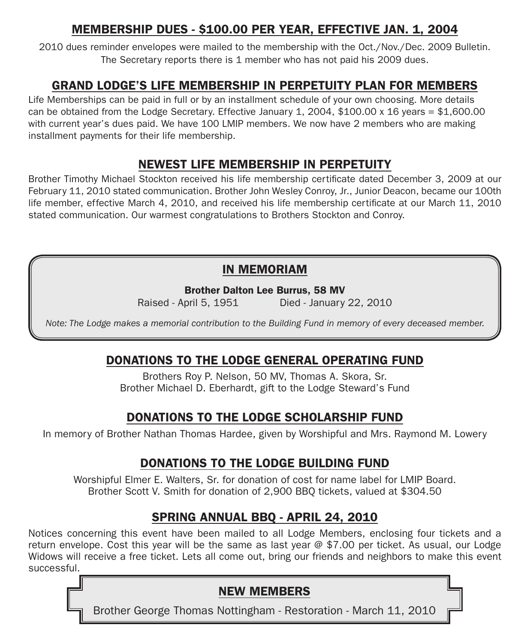### MEMBERSHIP DUES - \$100.00 PER YEAR, EFFECTIVE JAN. 1, 2004

2010 dues reminder envelopes were mailed to the membership with the Oct./Nov./Dec. 2009 Bulletin. The Secretary reports there is 1 member who has not paid his 2009 dues.

#### GRAND LODGE'S LIFE MEMBERSHIP IN PERPETUITY PLAN FOR MEMBERS

Life Memberships can be paid in full or by an installment schedule of your own choosing. More details can be obtained from the Lodge Secretary. Effective January 1, 2004, \$100.00 x 16 years = \$1,600.00 with current year's dues paid. We have 100 LMIP members. We now have 2 members who are making installment payments for their life membership.

## Newest LIFE MEMBERSHIP IN PERPETUITY

Brother Timothy Michael Stockton received his life membership certificate dated December 3, 2009 at our February 11, 2010 stated communication. Brother John Wesley Conroy, Jr., Junior Deacon, became our 100th life member, effective March 4, 2010, and received his life membership certificate at our March 11, 2010 stated communication. Our warmest congratulations to Brothers Stockton and Conroy.

#### IN MEMORIAM

Brother Dalton Lee Burrus, 58 MV

Raised - April 5, 1951 Died - January 22, 2010

*Note: The Lodge makes a memorial contribution to the Building Fund in memory of every deceased member.*

#### DONATIONS to the Lodge general operating fund

Brothers Roy P. Nelson, 50 MV, Thomas A. Skora, Sr. Brother Michael D. Eberhardt, gift to the Lodge Steward's Fund

#### DONATIONS to the Lodge scholarship fund

In memory of Brother Nathan Thomas Hardee, given by Worshipful and Mrs. Raymond M. Lowery

## DONATIONS to the Lodge BUILDING fund

Worshipful Elmer E. Walters, Sr. for donation of cost for name label for LMIP Board. Brother Scott V. Smith for donation of 2,900 BBQ tickets, valued at \$304.50

#### SPRING ANNUAL BBQ - APRIL 24, 2010

Notices concerning this event have been mailed to all Lodge Members, enclosing four tickets and a return envelope. Cost this year will be the same as last year @ \$7.00 per ticket. As usual, our Lodge Widows will receive a free ticket. Lets all come out, bring our friends and neighbors to make this event successful.

## NEW MEMBERS

Brother George Thomas Nottingham - Restoration - March 11, 2010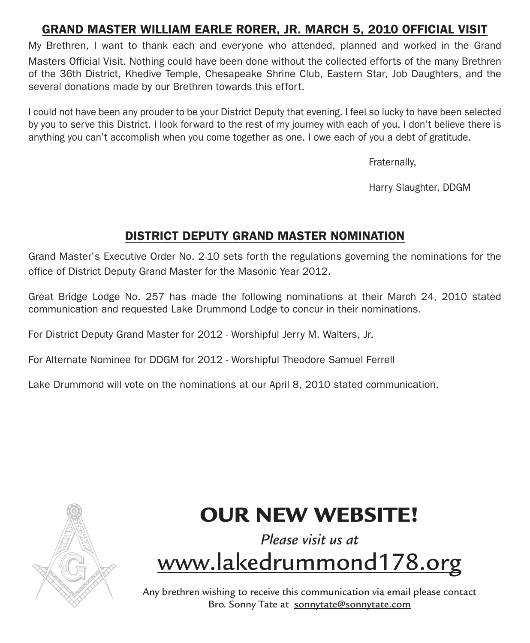## GrAnd Master William earle rorer, jr. march 5, 2010 official visit

My Brethren, I want to thank each and everyone who attended, planned and worked in the Grand Masters Official Visit. Nothing could have been done without the collected efforts of the many Brethren of the 36th District, Khedive Temple, Chesapeake Shrine Club, Eastern Star, Job Daughters, and the several donations made by our Brethren towards this effort.

I could not have been any prouder to be your District Deputy that evening. I feel so lucky to have been selected by you to serve this District. I look forward to the rest of my journey with each of you. I don't believe there is anything you can't accomplish when you come together as one. I owe each of you a debt of gratitude.

Fraternally,

Harry Slaughter, DDGM

## DISTRICT DEPUTY GRAND MASTER NOMINATION

Grand Master's Executive Order No. 2-10 sets forth the regulations governing the nominations for the office of District Deputy Grand Master for the Masonic Year 2012.

Great Bridge Lodge No. 257 has made the following nominations at their March 24, 2010 stated communication and requested Lake Drummond Lodge to concur in their nominations.

For District Deputy Grand Master for 2012 - Worshipful Jerry M. Walters, Jr.

For Alternate Nominee for DDGM for 2012 - Worshipful Theodore Samuel Ferrell

Lake Drummond will vote on the nominations at our April 8, 2010 stated communication.



# OUR NEW WEBSITE!

# *Please visit us at*  www.lakedrummond178.org

Any brethren wishing to receive this communication via email please contact Bro. Sonny Tate at sonnytate@sonnytate.com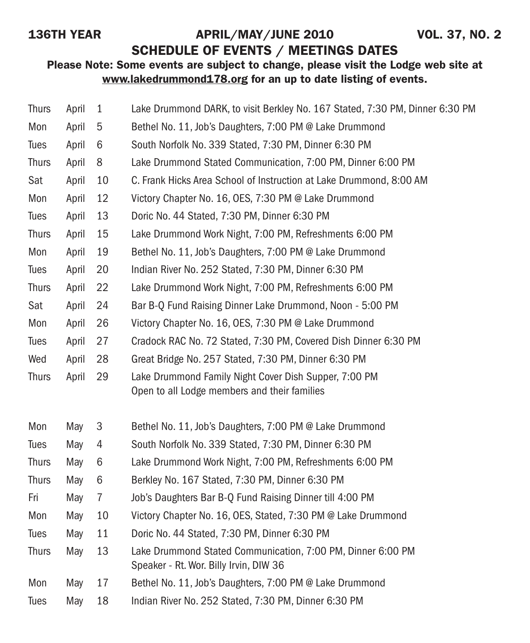## 136TH YEAR APRIL/MAY/JUNE 2010 VOL. 37, NO. 2

SCHEDULE OF EVENTS / MEETINGS DATES

#### Please Note: Some events are subject to change, please visit the Lodge web site at www.lakedrummond178.org for an up to date listing of events.

| <b>Thurs</b> | April | 1              | Lake Drummond DARK, to visit Berkley No. 167 Stated, 7:30 PM, Dinner 6:30 PM                          |
|--------------|-------|----------------|-------------------------------------------------------------------------------------------------------|
| Mon          | April | 5              | Bethel No. 11, Job's Daughters, 7:00 PM @ Lake Drummond                                               |
| Tues         | April | 6              | South Norfolk No. 339 Stated, 7:30 PM, Dinner 6:30 PM                                                 |
| <b>Thurs</b> | April | 8              | Lake Drummond Stated Communication, 7:00 PM, Dinner 6:00 PM                                           |
| Sat          | April | 10             | C. Frank Hicks Area School of Instruction at Lake Drummond, 8:00 AM                                   |
| Mon          | April | 12             | Victory Chapter No. 16, OES, 7:30 PM @ Lake Drummond                                                  |
| Tues         | April | 13             | Doric No. 44 Stated, 7:30 PM, Dinner 6:30 PM                                                          |
| <b>Thurs</b> | April | 15             | Lake Drummond Work Night, 7:00 PM, Refreshments 6:00 PM                                               |
| Mon          | April | 19             | Bethel No. 11, Job's Daughters, 7:00 PM @ Lake Drummond                                               |
| Tues         | April | 20             | Indian River No. 252 Stated, 7:30 PM, Dinner 6:30 PM                                                  |
| <b>Thurs</b> | April | 22             | Lake Drummond Work Night, 7:00 PM, Refreshments 6:00 PM                                               |
| Sat          | April | 24             | Bar B-Q Fund Raising Dinner Lake Drummond, Noon - 5:00 PM                                             |
| Mon          | April | 26             | Victory Chapter No. 16, OES, 7:30 PM @ Lake Drummond                                                  |
| Tues         | April | 27             | Cradock RAC No. 72 Stated, 7:30 PM, Covered Dish Dinner 6:30 PM                                       |
| Wed          | April | 28             | Great Bridge No. 257 Stated, 7:30 PM, Dinner 6:30 PM                                                  |
| <b>Thurs</b> | April | 29             | Lake Drummond Family Night Cover Dish Supper, 7:00 PM<br>Open to all Lodge members and their families |
| Mon          | May   | 3              | Bethel No. 11, Job's Daughters, 7:00 PM @ Lake Drummond                                               |
| Tues         | May   | 4              | South Norfolk No. 339 Stated, 7:30 PM, Dinner 6:30 PM                                                 |
| <b>Thurs</b> | May   | 6              | Lake Drummond Work Night, 7:00 PM, Refreshments 6:00 PM                                               |
| <b>Thurs</b> | May   | 6              | Berkley No. 167 Stated, 7:30 PM, Dinner 6:30 PM                                                       |
| Fri          | May   | $\overline{7}$ | Job's Daughters Bar B-Q Fund Raising Dinner till 4:00 PM                                              |
| Mon          | May   | 10             | Victory Chapter No. 16, OES, Stated, 7:30 PM @ Lake Drummond                                          |
| Tues         | May   | 11             | Doric No. 44 Stated, 7:30 PM, Dinner 6:30 PM                                                          |
| <b>Thurs</b> | May   | 13             | Lake Drummond Stated Communication, 7:00 PM, Dinner 6:00 PM<br>Speaker - Rt. Wor. Billy Irvin, DIW 36 |
| Mon          | May   | 17             | Bethel No. 11, Job's Daughters, 7:00 PM @ Lake Drummond                                               |
| Tues         | May   | 18             | Indian River No. 252 Stated, 7:30 PM, Dinner 6:30 PM                                                  |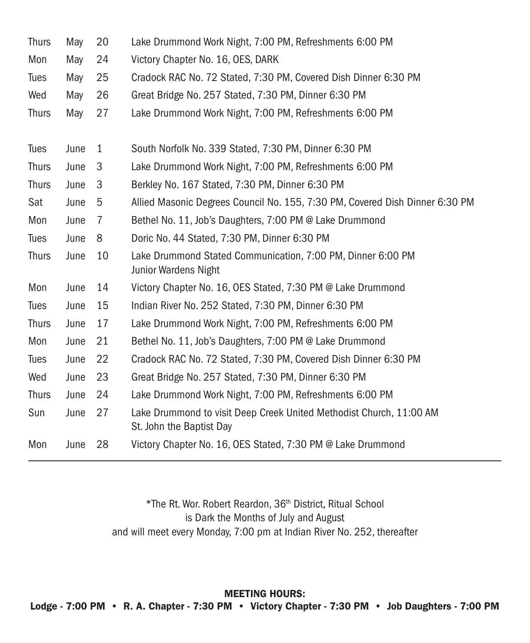| May                       | 20 | Lake Drummond Work Night, 7:00 PM, Refreshments 6:00 PM                                         |  |  |  |
|---------------------------|----|-------------------------------------------------------------------------------------------------|--|--|--|
| May                       | 24 | Victory Chapter No. 16, OES, DARK                                                               |  |  |  |
| May                       | 25 | Cradock RAC No. 72 Stated, 7:30 PM, Covered Dish Dinner 6:30 PM                                 |  |  |  |
| May                       | 26 | Great Bridge No. 257 Stated, 7:30 PM, Dinner 6:30 PM                                            |  |  |  |
| May                       | 27 | Lake Drummond Work Night, 7:00 PM, Refreshments 6:00 PM                                         |  |  |  |
|                           |    |                                                                                                 |  |  |  |
| June                      | 1  | South Norfolk No. 339 Stated, 7:30 PM, Dinner 6:30 PM                                           |  |  |  |
| <b>Thurs</b><br>June<br>3 |    | Lake Drummond Work Night, 7:00 PM, Refreshments 6:00 PM                                         |  |  |  |
| <b>Thurs</b><br>June<br>3 |    | Berkley No. 167 Stated, 7:30 PM, Dinner 6:30 PM                                                 |  |  |  |
| Sat<br>June<br>5          |    | Allied Masonic Degrees Council No. 155, 7:30 PM, Covered Dish Dinner 6:30 PM                    |  |  |  |
| June                      | 7  | Bethel No. 11, Job's Daughters, 7:00 PM @ Lake Drummond                                         |  |  |  |
| June                      | 8  | Doric No. 44 Stated, 7:30 PM, Dinner 6:30 PM                                                    |  |  |  |
| June                      | 10 | Lake Drummond Stated Communication, 7:00 PM, Dinner 6:00 PM<br>Junior Wardens Night             |  |  |  |
| June                      | 14 | Victory Chapter No. 16, OES Stated, 7:30 PM @ Lake Drummond                                     |  |  |  |
| June                      | 15 | Indian River No. 252 Stated, 7:30 PM, Dinner 6:30 PM                                            |  |  |  |
| June                      | 17 | Lake Drummond Work Night, 7:00 PM, Refreshments 6:00 PM                                         |  |  |  |
| June                      | 21 | Bethel No. 11, Job's Daughters, 7:00 PM @ Lake Drummond                                         |  |  |  |
| June                      | 22 | Cradock RAC No. 72 Stated, 7:30 PM, Covered Dish Dinner 6:30 PM                                 |  |  |  |
| June                      | 23 | Great Bridge No. 257 Stated, 7:30 PM, Dinner 6:30 PM                                            |  |  |  |
| June                      | 24 | Lake Drummond Work Night, 7:00 PM, Refreshments 6:00 PM                                         |  |  |  |
| June                      | 27 | Lake Drummond to visit Deep Creek United Methodist Church, 11:00 AM<br>St. John the Baptist Day |  |  |  |
| June                      | 28 | Victory Chapter No. 16, OES Stated, 7:30 PM @ Lake Drummond                                     |  |  |  |
|                           |    |                                                                                                 |  |  |  |

\*The Rt. Wor. Robert Reardon, 36th District, Ritual School is Dark the Months of July and August and will meet every Monday, 7:00 pm at Indian River No. 252, thereafter

MEETING HOURS: Lodge - 7:00 PM • R. A. Chapter - 7:30 PM • Victory Chapter - 7:30 PM • Job Daughters - 7:00 PM